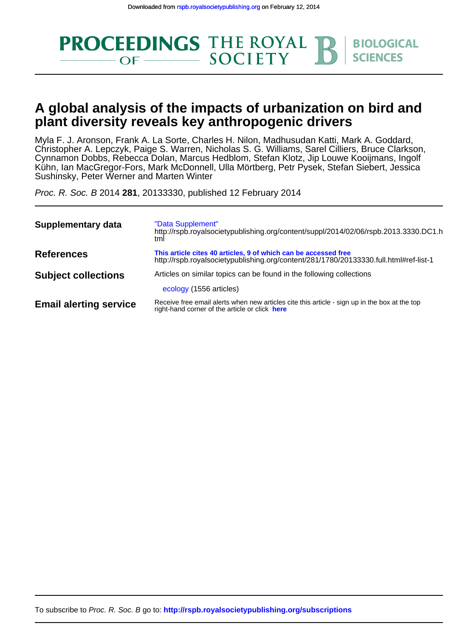

## **plant diversity reveals key anthropogenic drivers A global analysis of the impacts of urbanization on bird and**

Sushinsky, Peter Werner and Marten Winter Kühn, Ian MacGregor-Fors, Mark McDonnell, Ulla Mörtberg, Petr Pysek, Stefan Siebert, Jessica Cynnamon Dobbs, Rebecca Dolan, Marcus Hedblom, Stefan Klotz, Jip Louwe Kooijmans, Ingolf Christopher A. Lepczyk, Paige S. Warren, Nicholas S. G. Williams, Sarel Cilliers, Bruce Clarkson, Myla F. J. Aronson, Frank A. La Sorte, Charles H. Nilon, Madhusudan Katti, Mark A. Goddard,

Proc. R. Soc. B 2014 **281**, 20133330, published 12 February 2014

| <b>Supplementary data</b>     | "Data Supplement"<br>http://rspb.royalsocietypublishing.org/content/suppl/2014/02/06/rspb.2013.3330.DC1.h<br>tml                                         |
|-------------------------------|----------------------------------------------------------------------------------------------------------------------------------------------------------|
| <b>References</b>             | This article cites 40 articles, 9 of which can be accessed free<br>http://rspb.royalsocietypublishing.org/content/281/1780/20133330.full.html#ref-list-1 |
| <b>Subject collections</b>    | Articles on similar topics can be found in the following collections                                                                                     |
|                               | ecology (1556 articles)                                                                                                                                  |
| <b>Email alerting service</b> | Receive free email alerts when new articles cite this article - sign up in the box at the top<br>right-hand corner of the article or click here          |

To subscribe to Proc. R. Soc. B go to: **<http://rspb.royalsocietypublishing.org/subscriptions>**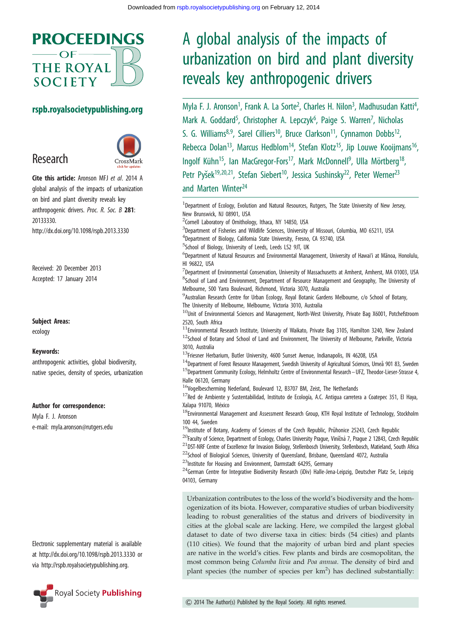

#### rspb.royalsocietypublishing.org

# Research



Cite this article: Aronson MFJ et al. 2014 A global analysis of the impacts of urbanization on bird and plant diversity reveals key anthropogenic drivers. Proc. R. Soc. B 281: 20133330. http://dx.doi.org/10.1098/rspb.2013.3330

Received: 20 December 2013 Accepted: 17 January 2014

Subject Areas:

ecology

#### Keywords:

anthropogenic activities, global biodiversity, native species, density of species, urbanization

#### Author for correspondence:

Myla F. J. Aronson e-mail: [myla.aronson@rutgers.edu](mailto:myla.aronson@rutgers.edu)

Electronic supplementary material is available at<http://dx.doi.org/10.1098/rspb.2013.3330> or via<http://rspb.royalsocietypublishing.org>.



# A global analysis of the impacts of urbanization on bird and plant diversity reveals key anthropogenic drivers

Myla F. J. Aronson<sup>1</sup>, Frank A. La Sorte<sup>2</sup>, Charles H. Nilon<sup>3</sup>, Madhusudan Katti<sup>4</sup> .<br>, Mark A. Goddard<sup>5</sup>, Christopher A. Lepczyk<sup>6</sup>, Paige S. Warren<sup>7</sup>, Nicholas S. G. Williams<sup>8,9</sup>, Sarel Cilliers<sup>10</sup>, Bruce Clarkson<sup>11</sup>, Cynnamon Dobbs<sup>12</sup>, Rebecca Dolan<sup>13</sup>, Marcus Hedblom<sup>14</sup>, Stefan Klotz<sup>15</sup>, Jip Louwe Kooijmans<sup>16</sup>, Ingolf Kühn<sup>15</sup>, Ian MacGregor-Fors<sup>17</sup>, Mark McDonnell<sup>9</sup>, Ulla Mörtberg<sup>18</sup>, Petr Pyšek<sup>19,20,21</sup>, Stefan Siebert<sup>10</sup>, Jessica Sushinsky<sup>22</sup>, Peter Werner<sup>23</sup> and Marten Winter<sup>24</sup>

<sup>1</sup>Department of Ecology, Evolution and Natural Resources, Rutgers, The State University of New Jersey,

New Brunswick, NJ 08901, USA <sup>2</sup> Cornell Laboratory of Ornithology, Ithaca, NY 14850, USA <sup>3</sup>Department of Fisheries and Wildlife Sciences, University of Missouri, Columbia, MO 65211, USA 4 Department of Biology, California State University, Fresno, CA 93740, USA <sup>5</sup>School of Biology, University of Leeds, Leeds LS2 9JT, UK <sup>6</sup>Department of Natural Resources and Environmental Management, University of Hawai'i at Mānoa, Honolulu, HI 96822, USA  $^7$ Department of Environmental Conservation, University of Massachusetts at Amherst, Amherst, MA 01003, USA <sup>8</sup>School of Land and Environment, Department of Resource Management and Geography, The University of Melbourne, 500 Yarra Boulevard, Richmond, Victoria 3070, Australia <sup>9</sup> Australian Research Centre for Urban Ecology, Royal Botanic Gardens Melbourne, c/o School of Botany, The University of Melbourne, Melbourne, Victoria 3010, Australia <sup>10</sup>Unit of Environmental Sciences and Management, North-West University, Private Bag X6001, Potchefstroom 2520, South Africa  $11$ Environmental Research Institute, University of Waikato, Private Bag 3105, Hamilton 3240, New Zealand  $12$ School of Botany and School of Land and Environment, The University of Melbourne, Parkville, Victoria 3010, Australia <sup>13</sup>Friesner Herbarium, Butler University, 4600 Sunset Avenue, Indianapolis, IN 46208, USA <sup>14</sup>Department of Forest Resource Management, Swedish University of Agricultural Sciences, Umeå 901 83, Sweden <sup>15</sup>Department Community Ecology, Helmholtz Centre of Environmental Research - UFZ, Theodor-Lieser-Strasse 4, Halle 06120, Germany  $16$ Vogelbescherming Nederland, Boulevard 12, B3707 BM, Zeist, The Netherlands  $^{17}$ Red de Ambiente y Sustentabilidad, Instituto de Ecología, A.C. Antigua carretera a Coatepec 351, El Haya, Xalapa 91070, México  $18$ Environmental Management and Assessment Research Group, KTH Royal Institute of Technology, Stockholm 100 44, Sweden <sup>19</sup>Institute of Botany, Academy of Sciences of the Czech Republic, Průhonice 25243, Czech Republic  $^{20}$ Faculty of Science, Department of Ecology, Charles University Prague, Viničná 7, Prague 2 12843, Czech Republic  $^{21}$ DST-NRF Centre of Excellence for Invasion Biology, Stellenbosch University, Stellenbosch, Matieland, South Africa <sup>22</sup>School of Biological Sciences, University of Queensland, Brisbane, Queensland 4072, Australia <sup>23</sup>Institute for Housing and Environment, Darmstadt 64295, Germany  $^{24}$ German Centre for Integrative Biodiversity Research (iDiv) Halle-Jena-Leipzig, Deutscher Platz 5e, Leipzig 04103, Germany Urbanization contributes to the loss of the world's biodiversity and the homogenization of its biota. However, comparative studies of urban biodiversity leading to robust generalities of the status and drivers of biodiversity in cities at the global scale are lacking. Here, we compiled the largest global dataset to date of two diverse taxa in cities: birds (54 cities) and plants (110 cities). We found that the majority of urban bird and plant species are native in the world's cities. Few plants and birds are cosmopolitan, the most common being Columba livia and Poa annua. The density of bird and plant species (the number of species per  $km<sup>2</sup>$ ) has declined substantially: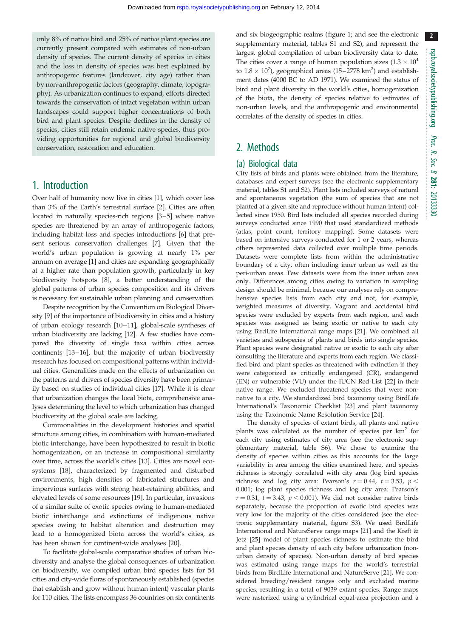only 8% of native bird and 25% of native plant species are currently present compared with estimates of non-urban density of species. The current density of species in cities and the loss in density of species was best explained by anthropogenic features (landcover, city age) rather than by non-anthropogenic factors (geography, climate, topography). As urbanization continues to expand, efforts directed towards the conservation of intact vegetation within urban landscapes could support higher concentrations of both bird and plant species. Despite declines in the density of species, cities still retain endemic native species, thus providing opportunities for regional and global biodiversity conservation, restoration and education.

## 1. Introduction

Over half of humanity now live in cities [\[1\]](#page-7-0), which cover less than 3% of the Earth's terrestrial surface [\[2](#page-7-0)]. Cities are often located in naturally species-rich regions [\[3](#page-7-0)–[5\]](#page-7-0) where native species are threatened by an array of anthropogenic factors, including habitat loss and species introductions [[6](#page-7-0)] that present serious conservation challenges [\[7](#page-7-0)]. Given that the world's urban population is growing at nearly 1% per annum on average [\[1](#page-7-0)] and cities are expanding geographically at a higher rate than population growth, particularly in key biodiversity hotspots [[8](#page-7-0)], a better understanding of the global patterns of urban species composition and its drivers is necessary for sustainable urban planning and conservation.

Despite recognition by the Convention on Biological Diversity [[9](#page-7-0)] of the importance of biodiversity in cities and a history of urban ecology research [\[10](#page-7-0)–[11\]](#page-7-0), global-scale syntheses of urban biodiversity are lacking [\[12\]](#page-7-0). A few studies have compared the diversity of single taxa within cities across continents [\[13](#page-7-0)–[16](#page-7-0)], but the majority of urban biodiversity research has focused on compositional patterns within individual cities. Generalities made on the effects of urbanization on the patterns and drivers of species diversity have been primarily based on studies of individual cities [\[17](#page-7-0)]. While it is clear that urbanization changes the local biota, comprehensive analyses determining the level to which urbanization has changed biodiversity at the global scale are lacking.

Commonalities in the development histories and spatial structure among cities, in combination with human-mediated biotic interchange, have been hypothesized to result in biotic homogenization, or an increase in compositional similarity over time, across the world's cities [[13\]](#page-7-0). Cities are novel ecosystems [\[18](#page-7-0)], characterized by fragmented and disturbed environments, high densities of fabricated structures and impervious surfaces with strong heat-retaining abilities, and elevated levels of some resources [[19](#page-7-0)]. In particular, invasions of a similar suite of exotic species owing to human-mediated biotic interchange and extinctions of indigenous native species owing to habitat alteration and destruction may lead to a homogenized biota across the world's cities, as has been shown for continent-wide analyses [\[20](#page-7-0)].

To facilitate global-scale comparative studies of urban biodiversity and analyse the global consequences of urbanization on biodiversity, we compiled urban bird species lists for 54 cities and city-wide floras of spontaneously established (species that establish and grow without human intent) vascular plants for 110 cities. The lists encompass 36 countries on six continents and six biogeographic realms [\(figure 1](#page-3-0); and see the electronic supplementary material, tables S1 and S2), and represent the largest global compilation of urban biodiversity data to date. The cities cover a range of human population sizes  $(1.3 \times 10^4$ to  $1.8 \times 10^7$ ), geographical areas (15-2778 km<sup>2</sup>) and establishment dates (4000 BC to AD 1971). We examined the status of bird and plant diversity in the world's cities, homogenization of the biota, the density of species relative to estimates of non-urban levels, and the anthropogenic and environmental correlates of the density of species in cities.

## 2. Methods

#### (a) Biological data

City lists of birds and plants were obtained from the literature, databases and expert surveys (see the electronic supplementary material, tables S1 and S2). Plant lists included surveys of natural and spontaneous vegetation (the sum of species that are not planted at a given site and reproduce without human intent) collected since 1950. Bird lists included all species recorded during surveys conducted since 1990 that used standardized methods (atlas, point count, territory mapping). Some datasets were based on intensive surveys conducted for 1 or 2 years, whereas others represented data collected over multiple time periods. Datasets were complete lists from within the administrative boundary of a city, often including inner urban as well as the peri-urban areas. Few datasets were from the inner urban area only. Differences among cities owing to variation in sampling design should be minimal, because our analyses rely on comprehensive species lists from each city and not, for example, weighted measures of diversity. Vagrant and accidental bird species were excluded by experts from each region, and each species was assigned as being exotic or native to each city using BirdLife International range maps [\[21\]](#page-7-0). We combined all varieties and subspecies of plants and birds into single species. Plant species were designated native or exotic to each city after consulting the literature and experts from each region. We classified bird and plant species as threatened with extinction if they were categorized as critically endangered (CR), endangered (EN) or vulnerable (VU) under the IUCN Red List [[22](#page-7-0)] in their native range. We excluded threatened species that were nonnative to a city. We standardized bird taxonomy using BirdLife International's Taxonomic Checklist [\[23\]](#page-7-0) and plant taxonomy using the Taxonomic Name Resolution Service [[24](#page-7-0)].

The density of species of extant birds, all plants and native plants was calculated as the number of species per  $km<sup>2</sup>$  for each city using estimates of city area (see the electronic supplementary material, table S6). We chose to examine the density of species within cities as this accounts for the large variability in area among the cities examined here, and species richness is strongly correlated with city area (log bird species richness and log city area: Pearson's  $r = 0.44$ ,  $t = 3.53$ ,  $p <$ 0.001; log plant species richness and log city area: Pearson's  $r = 0.31$ ,  $t = 3.43$ ,  $p < 0.001$ ). We did not consider native birds separately, because the proportion of exotic bird species was very low for the majority of the cities considered (see the electronic supplementary material, figure S3). We used BirdLife International and NatureServe range maps [[21](#page-7-0)] and the Kreft & Jetz [\[25\]](#page-7-0) model of plant species richness to estimate the bird and plant species density of each city before urbanization (nonurban density of species). Non-urban density of bird species was estimated using range maps for the world's terrestrial birds from BirdLife International and NatureServe [\[21](#page-7-0)]. We considered breeding/resident ranges only and excluded marine species, resulting in a total of 9039 extant species. Range maps were rasterized using a cylindrical equal-area projection and a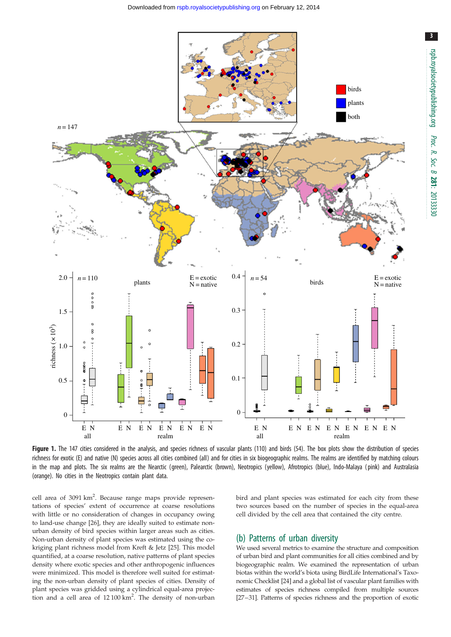

<span id="page-3-0"></span>

Figure 1. The 147 cities considered in the analysis, and species richness of vascular plants (110) and birds (54). The box plots show the distribution of species richness for exotic (E) and native (N) species across all cities combined (all) and for cities in six biogeographic realms. The realms are identified by matching colours in the map and plots. The six realms are the Nearctic (green), Palearctic (brown), Neotropics (yellow), Afrotropics (blue), Indo-Malaya (pink) and Australasia (orange). No cities in the Neotropics contain plant data.

cell area of 3091 km<sup>2</sup>. Because range maps provide representations of species' extent of occurrence at coarse resolutions with little or no consideration of changes in occupancy owing to land-use change [[26](#page-7-0)], they are ideally suited to estimate nonurban density of bird species within larger areas such as cities. Non-urban density of plant species was estimated using the cokriging plant richness model from Kreft & Jetz [[25](#page-7-0)]. This model quantified, at a coarse resolution, native patterns of plant species density where exotic species and other anthropogenic influences were minimized. This model is therefore well suited for estimating the non-urban density of plant species of cities. Density of plant species was gridded using a cylindrical equal-area projection and a cell area of  $12100 \text{ km}^2$ . The density of non-urban

bird and plant species was estimated for each city from these two sources based on the number of species in the equal-area cell divided by the cell area that contained the city centre.

#### (b) Patterns of urban diversity

We used several metrics to examine the structure and composition of urban bird and plant communities for all cities combined and by biogeographic realm. We examined the representation of urban biotas within the world's biota using BirdLife International's Taxonomic Checklist [[24](#page-7-0)] and a global list of vascular plant families with estimates of species richness compiled from multiple sources [\[27](#page-7-0)–[31\]](#page-8-0). Patterns of species richness and the proportion of exotic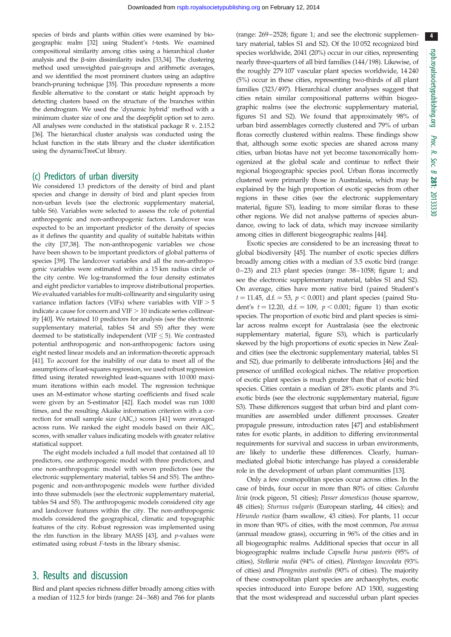species of birds and plants within cities were examined by biogeographic realm [\[32](#page-8-0)] using Student's t-tests. We examined compositional similarity among cities using a hierarchical cluster analysis and the  $\beta$ -sim dissimilarity index [\[33,34](#page-8-0)]. The clustering method used unweighted pair-groups and arithmetic averages, and we identified the most prominent clusters using an adaptive branch-pruning technique [\[35](#page-8-0)]. This procedure represents a more flexible alternative to the constant or static height approach by detecting clusters based on the structure of the branches within the dendrogram. We used the 'dynamic hybrid' method with a minimum cluster size of one and the deepSplit option set to zero. All analyses were conducted in the statistical package R v. 2.15.2 [\[36](#page-8-0)]. The hierarchical cluster analysis was conducted using the hclust function in the stats library and the cluster identification using the dynamicTreeCut library.

#### (c) Predictors of urban diversity

We considered 13 predictors of the density of bird and plant species and change in density of bird and plant species from non-urban levels (see the electronic supplementary material, table S6). Variables were selected to assess the role of potential anthropogenic and non-anthropogenic factors. Landcover was expected to be an important predictor of the density of species as it defines the quantity and quality of suitable habitats within the city [[37,38\]](#page-8-0). The non-anthropogenic variables we chose have been shown to be important predictors of global patterns of species [[39](#page-8-0)]. The landcover variables and all the non-anthropogenic variables were estimated within a 15 km radius circle of the city centre. We log-transformed the four density estimates and eight predictor variables to improve distributional properties. We evaluated variables for multi-collinearity and singularity using variance inflation factors (VIFs) where variables with  $VIF > 5$ indicate a cause for concern and  $VIF > 10$  indicate series collinearity [[40](#page-8-0)]. We retained 10 predictors for analysis (see the electronic supplementary material, tables S4 and S5) after they were deemed to be statistically independent (VIF  $\leq$  5). We contrasted potential anthropogenic and non-anthropogenic factors using eight nested linear models and an information-theoretic approach [\[41\]](#page-8-0). To account for the inability of our data to meet all of the assumptions of least-squares regression, we used robust regression fitted using iterated reweighted least-squares with 10 000 maximum iterations within each model. The regression technique uses an M-estimator whose starting coefficients and fixed scale were given by an S-estimator [[42](#page-8-0)]. Each model was run 1000 times, and the resulting Akaike information criterion with a correction for small sample size  $(AIC<sub>c</sub>)$  scores [\[41\]](#page-8-0) were averaged across runs. We ranked the eight models based on their  $AIC_c$ scores, with smaller values indicating models with greater relative statistical support.

The eight models included a full model that contained all 10 predictors, one anthropogenic model with three predictors, and one non-anthropogenic model with seven predictors (see the electronic supplementary material, tables S4 and S5). The anthropogenic and non-anthropogenic models were further divided into three submodels (see the electronic supplementary material, tables S4 and S5). The anthropogenic models considered city age and landcover features within the city. The non-anthropogenic models considered the geographical, climatic and topographic features of the city. Robust regression was implemented using the rlm function in the library MASS  $[43]$ , and  $p$ -values were estimated using robust F-tests in the library sfsmisc.

### 3. Results and discussion

Bird and plant species richness differ broadly among cities with a median of 112.5 for birds (range: 24–368) and 766 for plants (range: 269–2528; [figure 1;](#page-3-0) and see the electronic supplementary material, tables S1 and S2). Of the 10 052 recognized bird species worldwide, 2041 (20%) occur in our cities, representing nearly three-quarters of all bird families (144/198). Likewise, of the roughly 279 107 vascular plant species worldwide, 14 240 (5%) occur in these cities, representing two-thirds of all plant families (323/497). Hierarchical cluster analyses suggest that cities retain similar compositional patterns within biogeographic realms (see the electronic supplementary material, figures S1 and S2). We found that approximately 98% of urban bird assemblages correctly clustered and 79% of urban floras correctly clustered within realms. These findings show that, although some exotic species are shared across many cities, urban biotas have not yet become taxonomically homogenized at the global scale and continue to reflect their regional biogeographic species pool. Urban floras incorrectly clustered were primarily those in Australasia, which may be explained by the high proportion of exotic species from other regions in these cities (see the electronic supplementary material, figure S3), leading to more similar floras to these other regions. We did not analyse patterns of species abundance, owing to lack of data, which may increase similarity among cities in different biogeographic realms [[44](#page-8-0)].

Exotic species are considered to be an increasing threat to global biodiversity [\[45\]](#page-8-0). The number of exotic species differs broadly among cities with a median of 3.5 exotic bird (range: 0–23) and 213 plant species (range: 38–1058; [figure 1](#page-3-0); and see the electronic supplementary material, tables S1 and S2). On average, cities have more native bird (paired Student's  $t = 11.45$ , d.f. = 53,  $p < 0.001$ ) and plant species (paired Student's  $t = 12.20$ , d.f.  $t = 109$ ,  $p < 0.001$ ; [figure 1](#page-3-0)) than exotic species. The proportion of exotic bird and plant species is similar across realms except for Australasia (see the electronic supplementary material, figure S3), which is particularly skewed by the high proportions of exotic species in New Zealand cities (see the electronic supplementary material, tables S1 and S2), due primarily to deliberate introductions [\[46\]](#page-8-0) and the presence of unfilled ecological niches. The relative proportion of exotic plant species is much greater than that of exotic bird species. Cities contain a median of 28% exotic plants and 3% exotic birds (see the electronic supplementary material, figure S3). These differences suggest that urban bird and plant communities are assembled under different processes. Greater propagule pressure, introduction rates [\[47\]](#page-8-0) and establishment rates for exotic plants, in addition to differing environmental requirements for survival and success in urban environments, are likely to underlie these differences. Clearly, humanmediated global biotic interchange has played a considerable role in the development of urban plant communities [[13\]](#page-7-0).

Only a few cosmopolitan species occur across cities. In the case of birds, four occur in more than 80% of cities: Columba livia (rock pigeon, 51 cities); Passer domesticus (house sparrow, 48 cities); Sturnus vulgaris (European starling, 44 cities); and Hirundo rustica (barn swallow, 43 cities). For plants, 11 occur in more than 90% of cities, with the most common, Poa annua (annual meadow grass), occurring in 96% of the cities and in all biogeographic realms. Additional species that occur in all biogeographic realms include Capsella bursa pastoris (95% of cities), Stellaria media (94% of cities), Plantageo lanceolata (93% of cities) and Phragmites australis (90% of cities). The majority of these cosmopolitan plant species are archaeophytes, exotic species introduced into Europe before AD 1500, suggesting that the most widespread and successful urban plant species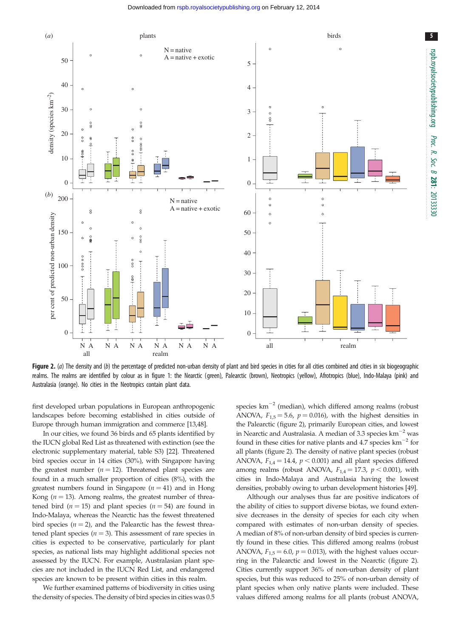<span id="page-5-0"></span>

Figure 2. (a) The density and (b) the percentage of predicted non-urban density of plant and bird species in cities for all cities combined and cities in six biogeographic realms. The realms are identified by colour as in [figure 1:](#page-3-0) the Nearctic (green), Palearctic (brown), Neotropics (yellow), Afrotropics (blue), Indo-Malaya (pink) and Australasia (orange). No cities in the Neotropics contain plant data.

first developed urban populations in European anthropogenic landscapes before becoming established in cities outside of Europe through human immigration and commerce [[13](#page-7-0),[48](#page-8-0)].

In our cities, we found 36 birds and 65 plants identified by the IUCN global Red List as threatened with extinction (see the electronic supplementary material, table S3) [[22](#page-7-0)]. Threatened bird species occur in 14 cities (30%), with Singapore having the greatest number ( $n = 12$ ). Threatened plant species are found in a much smaller proportion of cities (8%), with the greatest numbers found in Singapore  $(n = 41)$  and in Hong Kong ( $n = 13$ ). Among realms, the greatest number of threatened bird ( $n = 15$ ) and plant species ( $n = 54$ ) are found in Indo-Malaya, whereas the Nearctic has the fewest threatened bird species ( $n = 2$ ), and the Palearctic has the fewest threatened plant species ( $n = 3$ ). This assessment of rare species in cities is expected to be conservative, particularly for plant species, as national lists may highlight additional species not assessed by the IUCN. For example, Australasian plant species are not included in the IUCN Red List, and endangered species are known to be present within cities in this realm.

We further examined patterns of biodiversity in cities using the density of species. The density of bird species in cities was 0.5 species  $km^{-2}$  (median), which differed among realms (robust ANOVA,  $F_{1,5} = 5.6$ ,  $p = 0.016$ ), with the highest densities in the Palearctic (figure 2), primarily European cities, and lowest in Nearctic and Australasia. A median of 3.3 species  $km^{-2}$  was found in these cities for native plants and 4.7 species  $km^{-2}$  for all plants (figure 2). The density of native plant species (robust ANOVA,  $F_{1,4} = 14.4$ ,  $p < 0.001$ ) and all plant species differed among realms (robust ANOVA,  $F_{1,4} = 17.3$ ,  $p < 0.001$ ), with cities in Indo-Malaya and Australasia having the lowest densities, probably owing to urban development histories [[49\]](#page-8-0).

Although our analyses thus far are positive indicators of the ability of cities to support diverse biotas, we found extensive decreases in the density of species for each city when compared with estimates of non-urban density of species. A median of 8% of non-urban density of bird species is currently found in these cities. This differed among realms (robust ANOVA,  $F_{1,5} = 6.0$ ,  $p = 0.013$ ), with the highest values occurring in the Palearctic and lowest in the Nearctic (figure 2). Cities currently support 36% of non-urban density of plant species, but this was reduced to 25% of non-urban density of plant species when only native plants were included. These values differed among realms for all plants (robust ANOVA,

5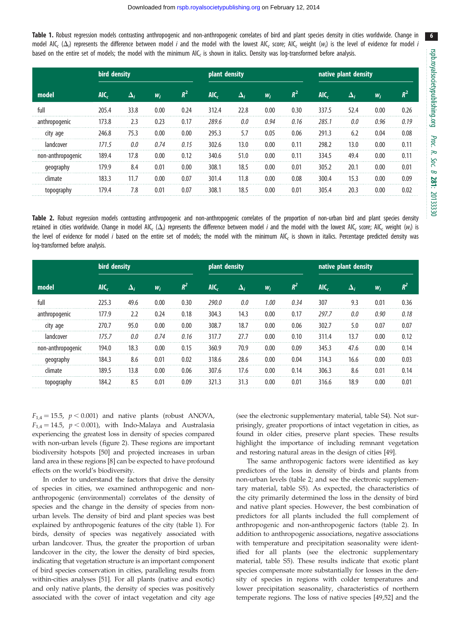Table 1. Robust regression models contrasting anthropogenic and non-anthropogenic correlates of bird and plant species density in cities worldwide. Change in model AIC<sub>c</sub> ( $\Delta_i$ ) represents the difference between model *i* and the model with the lowest AIC<sub>c</sub> score; AIC<sub>c</sub> weight ( $w_i$ ) is the level of evidence for model *i* based on the entire set of models; the model with the minimum AIC<sub>c</sub> is shown in italics. Density was log-transformed before analysis.

| model             | bird density |            |       |       | plant density |            |       |       | native plant density |                     |       |                |  |
|-------------------|--------------|------------|-------|-------|---------------|------------|-------|-------|----------------------|---------------------|-------|----------------|--|
|                   | $AIC_c$      | $\Delta_i$ | $W_i$ | $R^2$ | $AIC_c$       | $\Delta_i$ | $W_i$ | $R^2$ | AIC,                 | $\mathbf{\Delta}_i$ | $W_i$ | $\mathbf{p}^2$ |  |
| full              | 205.4        | 33.8       | 0.00  | 0.24  | 312.4         | 22.8       | 0.00  | 0.30  | 337.5                | 52.4                | 0.00  | 0.26           |  |
| anthropogenic     | 173.8        | 2.3        | 0.23  | 0.17  | 289.6         | 0.0        | 0.94  | 0.16  | 285.1                | 0.0                 | 0.96  | 0.19           |  |
| city age          | 246.8        | 75.3       | 0.00  | 0.00  | 295.3         | 5.7        | 0.05  | 0.06  | 291.3                | 6.2                 | 0.04  | 0.08           |  |
| landcover         | 171.5        | 0.0        | 0.74  | 0.15  | 302.6         | 13.0       | 0.00  | 0.11  | 298.2                | 13.0                | 0.00  | 0.11           |  |
| non-anthropogenic | 189.4        | 17.8       | 0.00  | 0.12  | 340.6         | 51.0       | 0.00  | 0.11  | 334.5                | 49.4                | 0.00  | 0.11           |  |
| geography         | 179.9        | 8.4        | 0.01  | 0.00  | 308.1         | 18.5       | 0.00  | 0.01  | 305.2                | 20.1                | 0.00  | 0.01           |  |
| climate           | 183.3        | 11.7       | 0.00  | 0.07  | 301.4         | 11.8       | 0.00  | 0.08  | 300.4                | 15.3                | 0.00  | 0.09           |  |
| topography        | 179.4        | 7.8        | 0.01  | 0.07  | 308.1         | 18.5       | 0.00  | 0.01  | 305.4                | 20.3                | 0.00  | 0.02           |  |

Table 2. Robust regression models contrasting anthropogenic and non-anthropogenic correlates of the proportion of non-urban bird and plant species density retained in cities worldwide. Change in model AIC<sub>c</sub> ( $\Delta_i$ ) represents the difference between model *i* and the model with the lowest AIC<sub>c</sub> score; AIC<sub>c</sub> weight (w<sub>i</sub>) is the level of evidence for model i based on the entire set of models; the model with the minimum AIC, is shown in italics. Percentage predicted density was log-transformed before analysis.

| model             | bird density |            |       |       | plant density |            |       |       | native plant density |            |       |       |  |
|-------------------|--------------|------------|-------|-------|---------------|------------|-------|-------|----------------------|------------|-------|-------|--|
|                   | AIC          | $\Delta_i$ | $W_i$ | $R^2$ | $AIC_{c}$     | $\Delta_i$ | $W_i$ | $R^2$ | AIC,                 | $\Delta_i$ | $W_i$ | $R^2$ |  |
| full              | 225.3        | 49.6       | 0.00  | 0.30  | 290.0         | 0.0        | 1.00  | 0.34  | 307                  | 9.3        | 0.01  | 0.36  |  |
| anthropogenic     | 177.9        | 2.2        | 0.24  | 0.18  | 304.3         | 14.3       | 0.00  | 0.17  | 297.7                | 0.0        | 0.90  | 0.18  |  |
| city age          | 270.7        | 95.0       | 0.00  | 0.00  | 308.7         | 18.7       | 0.00  | 0.06  | 302.7                | 5.0        | 0.07  | 0.07  |  |
| landcover         | 175.7        | 0.0        | 0.74  | 0.16  | 317.7         | 27.7       | 0.00  | 0.10  | 311.4                | 13.7       | 0.00  | 0.12  |  |
| non-anthropogenic | 194.0        | 18.3       | 0.00  | 0.15  | 360.9         | 70.9       | 0.00  | 0.09  | 345.3                | 47.6       | 0.00  | 0.14  |  |
| geography         | 184.3        | 8.6        | 0.01  | 0.02  | 318.6         | 28.6       | 0.00  | 0.04  | 314.3                | 16.6       | 0.00  | 0.03  |  |
| climate           | 189.5        | 13.8       | 0.00  | 0.06  | 307.6         | 17.6       | 0.00  | 0.14  | 306.3                | 8.6        | 0.01  | 0.14  |  |
| topography        | 184.2        | 8.5        | 0.01  | 0.09  | 321.3         | 31.3       | 0.00  | 0.01  | 316.6                | 18.9       | 0.00  | 0.01  |  |

 $F_{1,4} = 15.5$ ,  $p < 0.001$ ) and native plants (robust ANOVA,  $F_{1,4} = 14.5$ ,  $p < 0.001$ ), with Indo-Malaya and Australasia experiencing the greatest loss in density of species compared with non-urban levels [\(figure 2](#page-5-0)). These regions are important biodiversity hotspots [\[50](#page-8-0)] and projected increases in urban land area in these regions [[8](#page-7-0)] can be expected to have profound effects on the world's biodiversity.

In order to understand the factors that drive the density of species in cities, we examined anthropogenic and nonanthropogenic (environmental) correlates of the density of species and the change in the density of species from nonurban levels. The density of bird and plant species was best explained by anthropogenic features of the city (table 1). For birds, density of species was negatively associated with urban landcover. Thus, the greater the proportion of urban landcover in the city, the lower the density of bird species, indicating that vegetation structure is an important component of bird species conservation in cities, paralleling results from within-cities analyses [\[51](#page-8-0)]. For all plants (native and exotic) and only native plants, the density of species was positively associated with the cover of intact vegetation and city age (see the electronic supplementary material, table S4). Not surprisingly, greater proportions of intact vegetation in cities, as found in older cities, preserve plant species. These results highlight the importance of including remnant vegetation and restoring natural areas in the design of cities [[49](#page-8-0)].

The same anthropogenic factors were identified as key predictors of the loss in density of birds and plants from non-urban levels (table 2; and see the electronic supplementary material, table S5). As expected, the characteristics of the city primarily determined the loss in the density of bird and native plant species. However, the best combination of predictors for all plants included the full complement of anthropogenic and non-anthropogenic factors (table 2). In addition to anthropogenic associations, negative associations with temperature and precipitation seasonality were identified for all plants (see the electronic supplementary material, table S5). These results indicate that exotic plant species compensate more substantially for losses in the density of species in regions with colder temperatures and lower precipitation seasonality, characteristics of northern temperate regions. The loss of native species [[49,52](#page-8-0)] and the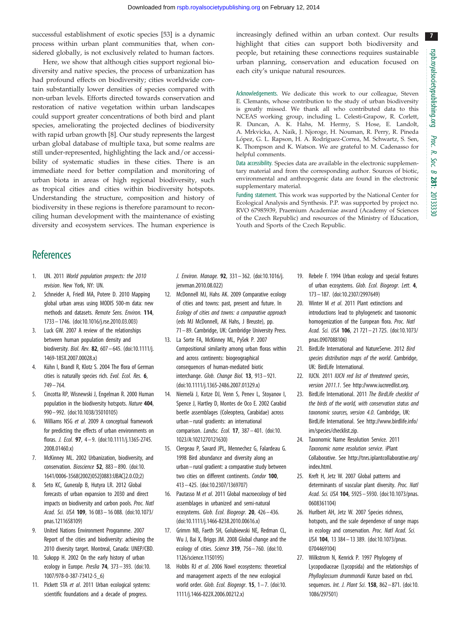<span id="page-7-0"></span>successful establishment of exotic species [[53\]](#page-8-0) is a dynamic process within urban plant communities that, when considered globally, is not exclusively related to human factors.

Here, we show that although cities support regional biodiversity and native species, the process of urbanization has had profound effects on biodiversity; cities worldwide contain substantially lower densities of species compared with non-urban levels. Efforts directed towards conservation and restoration of native vegetation within urban landscapes could support greater concentrations of both bird and plant species, ameliorating the projected declines of biodiversity with rapid urban growth [8]. Our study represents the largest urban global database of multiple taxa, but some realms are still under-represented, highlighting the lack and/or accessibility of systematic studies in these cities. There is an immediate need for better compilation and monitoring of urban biota in areas of high regional biodiversity, such as tropical cities and cities within biodiversity hotspots. Understanding the structure, composition and history of biodiversity in these regions is therefore paramount to reconciling human development with the maintenance of existing diversity and ecosystem services. The human experience is increasingly defined within an urban context. Our results highlight that cities can support both biodiversity and people, but retaining these connections requires sustainable urban planning, conservation and education focused on each city's unique natural resources.

Acknowledgements. We dedicate this work to our colleague, Steven E. Clemants, whose contribution to the study of urban biodiversity is greatly missed. We thank all who contributed data to this NCEAS working group, including L. Celesti-Grapow, R. Corlett, R. Duncan, A. K. Hahs, M. Hermy, S. Hose, E. Landolt, A. Mrkvicka, A. Naik, J. Njoroge, H. Nouman, R. Perry, R. Pineda López, G. L. Rapson, H. A. Rodríguez-Correa, M. Schwartz, S. Sen, K. Thompson and K. Watson. We are grateful to M. Cadenasso for helpful comments.

Data accessibility. Species data are available in the electronic supplementary material and from the corresponding author. Sources of biotic, environmental and anthropogenic data are found in the electronic supplementary material.

Funding statement. This work was supported by the National Center for Ecological Analysis and Synthesis. P.P. was supported by project no. RVO 67985939, Praemium Academiae award (Academy of Sciences of the Czech Republic) and resources of the Ministry of Education, Youth and Sports of the Czech Republic.

## **References**

- 1. UN. 2011 World population prospects: the 2010 revision. New York, NY: UN.
- 2. Schneider A, Friedl MA, Potere D. 2010 Mapping global urban areas using MODIS 500-m data: new methods and datasets. Remote Sens. Environ. 114, 1733 – 1746. [\(doi:10.1016/j.rse.2010.03.003\)](http://dx.doi.org/10.1016/j.rse.2010.03.003)
- 3. Luck GW. 2007 A review of the relationships between human population density and biodiversity. Biol. Rev. 82, 607 – 645. [\(doi:10.1111/j.](http://dx.doi.org/10.1111/j.1469-185X.2007.00028.x) [1469-185X.2007.00028.x](http://dx.doi.org/10.1111/j.1469-185X.2007.00028.x))
- 4. Kühn I, Brandl R, Klotz S. 2004 The flora of German cities is naturally species rich. Evol. Ecol. Res. 6, 749– 764.
- 5. Cincotta RP, Wisnewski J, Engelman R. 2000 Human population in the biodiversity hotspots. Nature 404, 990– 992. ([doi:10.1038/35010105](http://dx.doi.org/10.1038/35010105))
- 6. Williams NSG et al. 2009 A conceptual framework for predicting the effects of urban environments on floras. J. Ecol. 97, 4– 9. ([doi:10.1111/j.1365-2745.](http://dx.doi.org/10.1111/j.1365-2745.2008.01460.x) [2008.01460.x\)](http://dx.doi.org/10.1111/j.1365-2745.2008.01460.x)
- 7. McKinney ML. 2002 Urbanization, biodiversity, and conservation. Bioscience 52, 883 – 890. ([doi:10.](http://dx.doi.org/10.1641/0006-3568(2002)052[0883:UBAC]2.0.CO;2) [1641/0006-3568\(2002\)052\[0883:UBAC\]2.0.CO;2\)](http://dx.doi.org/10.1641/0006-3568(2002)052[0883:UBAC]2.0.CO;2)
- 8. Seto KC, Guneralp B, Hutyra LR. 2012 Global forecasts of urban expansion to 2030 and direct impacts on biodiversity and carbon pools. Proc. Natl Acad. Sci. USA 109, 16 083 – 16 088. ([doi:10.1073/](http://dx.doi.org/10.1073/pnas.1211658109) [pnas.1211658109](http://dx.doi.org/10.1073/pnas.1211658109))
- 9. United Nations Environment Programme. 2007 Report of the cities and biodiversity: achieving the 2010 diversity target. Montreal, Canada: UNEP/CBD.
- 10. Sukopp H. 2002 On the early history of urban ecology in Europe. Preslia 74, 373-393. ([doi:10.](http://dx.doi.org/10.1007/978-0-387-73412-5_6) [1007/978-0-387-73412-5\\_6](http://dx.doi.org/10.1007/978-0-387-73412-5_6))
- 11. Pickett STA et al. 2011 Urban ecological systems: scientific foundations and a decade of progress.

J. Environ. Manage. 92, 331– 362. ([doi:10.1016/j.](http://dx.doi.org/10.1016/j.jenvman.2010.08.022) [jenvman.2010.08.022](http://dx.doi.org/10.1016/j.jenvman.2010.08.022))

- 12. McDonnell MJ, Hahs AK. 2009 Comparative ecology of cities and towns: past, present and future. In Ecology of cities and towns: a comparative approach (eds MJ McDonnell, AK Hahs, J Breuste), pp. 71 – 89. Cambridge, UK: Cambridge University Press.
- 13. La Sorte FA, McKinney ML, Pyšek P. 2007 Compositional similarity among urban floras within and across continents: biogeographical consequences of human-mediated biotic interchange. Glob. Change Biol. 13, 913 – 921. [\(doi:10.1111/j.1365-2486.2007.01329.x\)](http://dx.doi.org/10.1111/j.1365-2486.2007.01329.x)
- 14. Niemelä J, Kotze DJ, Venn S, Penev L, Stoyanov I, Spence J, Hartley D, Montes de Oco E. 2002 Carabid beetle assemblages (Coleoptera, Carabidae) across urban –rural gradients: an international comparison. Landsc. Ecol. 17, 387– 401. ([doi:10.](http://dx.doi.org/10.1023/A:1021270121630) [1023/A:1021270121630](http://dx.doi.org/10.1023/A:1021270121630))
- 15. Clergeau P, Savard JPL, Mennechez G, Falardeau G. 1998 Bird abundance and diversity along an urban –rural gradient: a comparative study between two cities on different continents. Condor 100, 413 – 425. [\(doi:10.2307/1369707\)](http://dx.doi.org/10.2307/1369707)
- 16. Pautasso M et al. 2011 Global macroecology of bird assemblages in urbanized and semi-natural ecosystems. Glob. Ecol. Biogeogr. 20, 426-436. [\(doi:10.1111/j.1466-8238.2010.00616.x\)](http://dx.doi.org/10.1111/j.1466-8238.2010.00616.x)
- 17. Grimm NB, Faeth SH, Golubiewski NE, Redman CL, Wu J, Bai X, Briggs JM. 2008 Global change and the ecology of cities. Science 319, 756-760. ([doi:10.](http://dx.doi.org/10.1126/science.1150195) [1126/science.1150195](http://dx.doi.org/10.1126/science.1150195))
- 18. Hobbs RJ et al. 2006 Novel ecosystems: theoretical and management aspects of the new ecological world order. Glob. Ecol. Biogeogr.  $15$ ,  $1 - 7$ . [\(doi:10.](http://dx.doi.org/10.1111/j.1466-822X.2006.00212.x) [1111/j.1466-822X.2006.00212.x](http://dx.doi.org/10.1111/j.1466-822X.2006.00212.x))
- 19. Rebele F. 1994 Urban ecology and special features of urban ecosystems. Glob. Ecol. Biogeogr. Lett. 4, 173– 187. [\(doi:10.2307/2997649](http://dx.doi.org/10.2307/2997649))
- 20. Winter M et al. 2011 Plant extinctions and introductions lead to phylogenetic and taxonomic homogenization of the European flora. Proc. Natl Acad. Sci. USA 106, 21 721– 21 725. [\(doi:10.1073/](http://dx.doi.org/10.1073/pnas.0907088106) [pnas.0907088106\)](http://dx.doi.org/10.1073/pnas.0907088106)
- 21. BirdLife International and NatureServe. 2012 Bird species distribution maps of the world. Cambridge, UK: BirdLife International.
- 22. IUCN. 2011 IUCN red list of threatened species, version 2011.1. See [http://www.iucnredlist.org.](http://www.iucnredlist.org)
- 23. BirdLife International. 2011 The BirdLife checklist of the birds of the world, with conservation status and taxonomic sources, version 4.0. Cambridge, UK: BirdLife International. See [http://www.birdlife.info/](http://www.birdlife.info/im/species/checklist.zip) [im/species/checklist.zip.](http://www.birdlife.info/im/species/checklist.zip)
- 24. Taxonomic Name Resolution Service. 2011 Taxonomic name resolution service. iPlant Collaborative. See [http://tnrs.iplantcollaborative.org/](http://tnrs.iplantcollaborative.org/index.html) [index.html](http://tnrs.iplantcollaborative.org/index.html).
- 25. Kreft H, Jetz W. 2007 Global patterns and determinants of vascular plant diversity. Proc. Natl Acad. Sci. USA 104, 5925 – 5930. ([doi:10.1073/pnas.](http://dx.doi.org/10.1073/pnas.0608361104) [0608361104](http://dx.doi.org/10.1073/pnas.0608361104))
- 26. Hurlbert AH, Jetz W. 2007 Species richness, hotspots, and the scale dependence of range maps in ecology and conservation. Proc. Natl Acad. Sci. USA 104, 13 384– 13 389. ([doi:10.1073/pnas.](http://dx.doi.org/10.1073/pnas.0704469104) [0704469104](http://dx.doi.org/10.1073/pnas.0704469104))
- 27. Wilkstrom N, Kenrick P. 1997 Phylogeny of Lycopodiaceae (Lycopsida) and the relationships of Phylloglossum drummondii Kunze based on rbcL sequences. Int. J. Plant Sci. 158, 862-871. [\(doi:10.](http://dx.doi.org/10.1086/297501) [1086/297501\)](http://dx.doi.org/10.1086/297501)